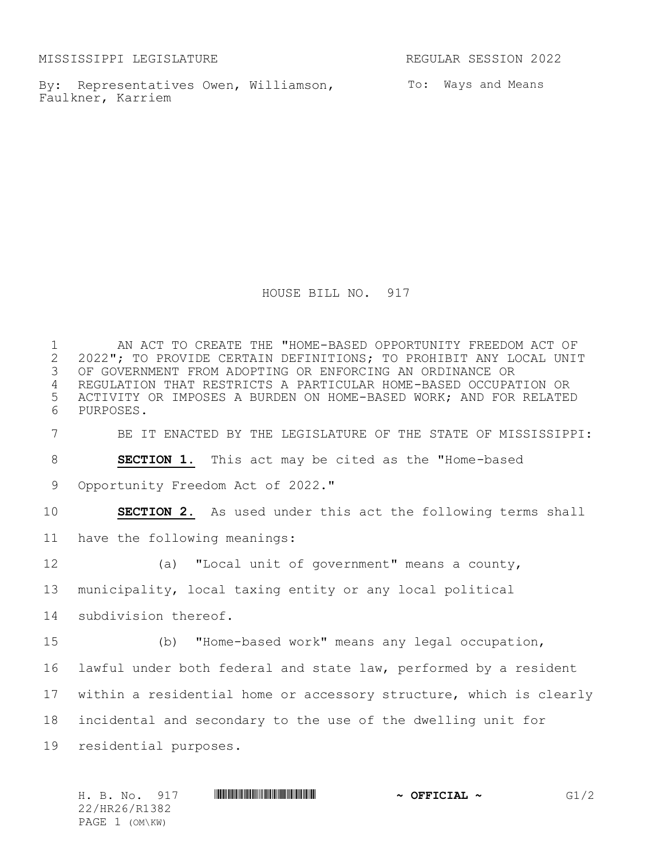MISSISSIPPI LEGISLATURE REGULAR SESSION 2022

By: Representatives Owen, Williamson, To: Ways and Means Faulkner, Karriem

HOUSE BILL NO. 917

1 AN ACT TO CREATE THE "HOME-BASED OPPORTUNITY FREEDOM ACT OF<br>2 2022"; TO PROVIDE CERTAIN DEFINITIONS; TO PROHIBIT ANY LOCAL UNI 2 2022"; TO PROVIDE CERTAIN DEFINITIONS; TO PROHIBIT ANY LOCAL UNIT<br>3 OF GOVERNMENT FROM ADOPTING OR ENFORCING AN ORDINANCE OR OF GOVERNMENT FROM ADOPTING OR ENFORCING AN ORDINANCE OR REGULATION THAT RESTRICTS A PARTICULAR HOME-BASED OCCUPATION OR ACTIVITY OR IMPOSES A BURDEN ON HOME-BASED WORK; AND FOR RELATED PURPOSES.

BE IT ENACTED BY THE LEGISLATURE OF THE STATE OF MISSISSIPPI:

**SECTION 1.** This act may be cited as the "Home-based

9 Opportunity Freedom Act of 2022."

**SECTION 2.** As used under this act the following terms shall

have the following meanings:

(a) "Local unit of government" means a county,

municipality, local taxing entity or any local political

subdivision thereof.

 (b) "Home-based work" means any legal occupation, lawful under both federal and state law, performed by a resident within a residential home or accessory structure, which is clearly incidental and secondary to the use of the dwelling unit for residential purposes.

| H. B. No.      | 917 | <u> I III III III III III III III II III II III II III III III III III III III III III III III III III III III I</u> | $\sim$ OFFICIAL $\sim$ | G1/2 |
|----------------|-----|----------------------------------------------------------------------------------------------------------------------|------------------------|------|
| 22/HR26/R1382  |     |                                                                                                                      |                        |      |
| PAGE 1 (OM\KW) |     |                                                                                                                      |                        |      |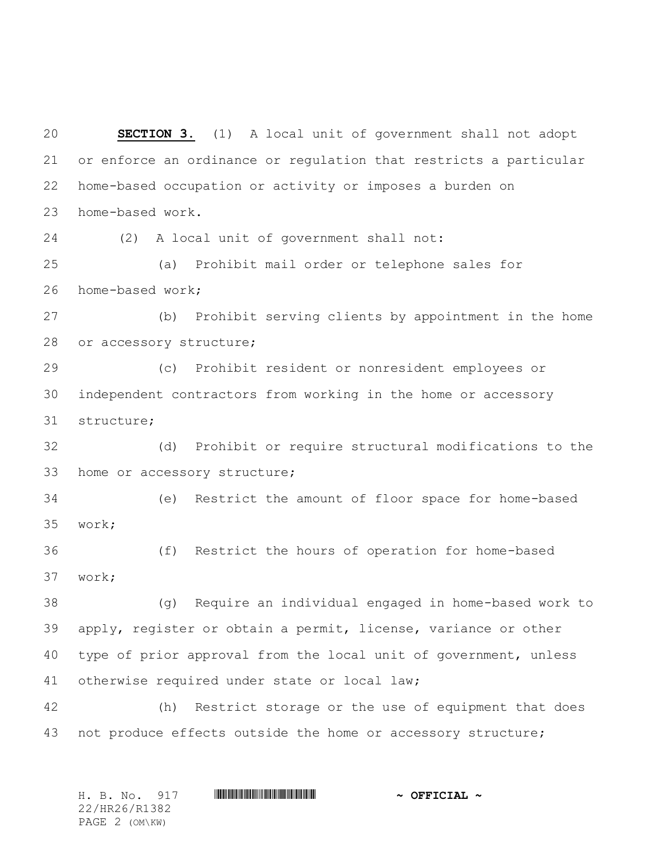**SECTION 3.** (1) A local unit of government shall not adopt or enforce an ordinance or regulation that restricts a particular home-based occupation or activity or imposes a burden on home-based work. (2) A local unit of government shall not: (a) Prohibit mail order or telephone sales for home-based work; (b) Prohibit serving clients by appointment in the home or accessory structure; (c) Prohibit resident or nonresident employees or independent contractors from working in the home or accessory structure; (d) Prohibit or require structural modifications to the home or accessory structure; (e) Restrict the amount of floor space for home-based work; (f) Restrict the hours of operation for home-based work; (g) Require an individual engaged in home-based work to apply, register or obtain a permit, license, variance or other type of prior approval from the local unit of government, unless otherwise required under state or local law; (h) Restrict storage or the use of equipment that does not produce effects outside the home or accessory structure;

| H. B. No. 917  |  | $\sim$ OFFICIAL $\sim$ |  |  |  |  |  |
|----------------|--|------------------------|--|--|--|--|--|
| 22/HR26/R1382  |  |                        |  |  |  |  |  |
| PAGE 2 (OM\KW) |  |                        |  |  |  |  |  |